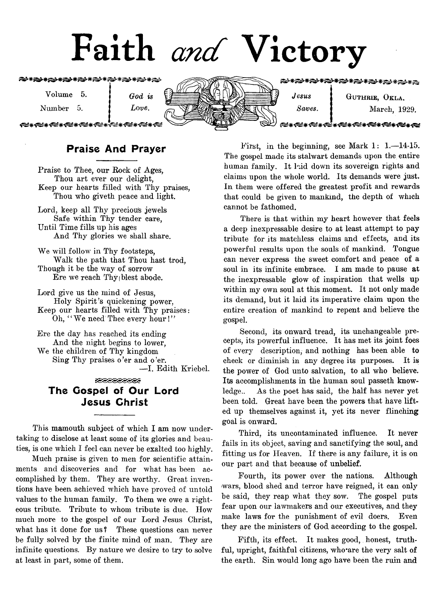# Faith *and* Victory

**۞₩۞₩₩۞₩۞₩۞₩۞₩۞₩۞₩** 

Volume 5. *q 0<i ^*

Number 5. *Love.*

€≤∗€≤∗€≤∗€≤∗€≤∗€≤∗

بصديحيصد



€≠≮€≠≮€≠≮€≠**≮€≠≮€≠≮€≠≮€**≠≠€€

*Jesus* **GUTHRIE, OKLA.** *Saves.* March, 1929.

### €≤∗€≤∗€≤∗€≤∗€≤∗€≤∗€≤≠∈≤

# Praise And Prayer

Praise to Thee, our Rock of Ages, Thou art ever our delight. Keep our hearts filled with Thy praises, Thou who giveth peace and light.

Lord, keep all Thy preciods jewels Safe within Thy tender care, Until Time fills up his ages And Thy glories we shall share.

We will follow in Thy footsteps, Walk the path that Thou hast trod, Though it be the way of sorrow Ere we reach  $Thy$  blest abode.

Lord give us the mind of Jesus, Holy Spirit's quickening power, Keep our hearts filled with Thy praises: Oh, "We need Thee every hour!"

Ere the day has reached its ending And the night begins to lower, We the children of Thy kingdom Sing Thy praises o 'er and o 'er. — I. Edith Kriebel.

# <u>teceeeese</u> The Gospel of Our Lord Jesus Christ

This mamouth subject of which I am now undertaking to disclose at least some of its glories and beauties, is one which I feel can never be exalted too highly.

Much praise is given to men for scientific attainments and discoveries and for what has been accomplished by them. They are worthy. Great inventions have been achieved which have proved of untold values to the human family. To them we owe a righteous tribute. Tribute to whom tribute is due. How much more to the gospel of our Lord Jesus Christ, what has it done for us? These questions can never be fully solved by the finite mind of man. They are infinite questions. By nature we desire to try to solve at least in part, some of them.

First, in the beginning, see Mark 1: 1.— 14-15. The gospel made its stalwart demands upon the entire human family. It hid down its sovereign rights and claims upon the whole world. Its demands were just. In them were offered the greatest profit and rewards that could be given to mankind, the depth of which cannot be fathomed.

There is that within my heart however that feels a deep inexpressable desire to at least attempt to pay tribute for its matchless claims and effects, and its powerful results upon the souls of mankind. Tongue can never express the sweet comfort and peace of a soul in its infinite embrace. I am made to pause at the inexpressable glow of inspiration that wells up within my own soul at this moment. It not only made its demand, but it laid its imperative claim upon the entire creation of mankind to repent and believe the gospel.

Second, its onward tread, its unchangeable precepts, its powerful influence. It has met its joint foes of every description, and nothing has been able to check or diminish in any degree its purposes. It is the power of God unto salvation, to all who believe. Its accomplishments in the human soul passeth knowledge.. As the poet has said, the half has never yet been told. Great have been the powers that have lifted up themselves against it, yet its never flinching goal is onward.

Third, its uncontaminated influence. It never fails in its object, saving and sanctifying the soul, and fitting us for Heaven. If there is any failure, it is on our part and that because of unbelief.

Fourth, its power over the nations. Although wars, blood shed and terror have reigned, it can only be said, they reap what they sow. The gospel puts fear upon our lawmakers and our executives, and they make laws for the punishment of evil doers. Even they are the ministers of God according to the gospel.

Fifth, its effect. It makes good, honest, truthful, upright, faithful citizens, who are the very salt of the earth. Sin would long ago have been the ruin and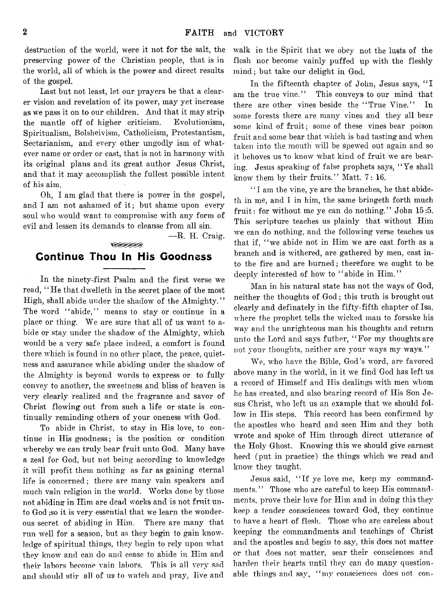destruction of the world, were it not for the salt, the preserving power of the Christian people, that is in the world, all of which is the power and direct results of the gospel.

Last but not least, let our prayers be that a clearer vision and revelation of its power, may yet increase as we pass it on to our children. And that it may strip the mantle off of higher criticism. Evolutionism, Spiritualism, Bolsheivism, Catholicism, Protestantism, Sectarianism, and every other ungodly ism of whatever name or order or cast, that is not in harmony with its original plans and its great author Jesus Christ, and that it may accomplish the fullest possible intent of his aim.

Oh, I am glad that there is power in the gospel, and I am not ashamed of it; but shame upon every soul who would want to compromise with any form of evil and lessen its demands to cleanse from all sin.

— R. H. Craig.

# <u> SEEEEE</u> Continue Thou In His Goodness

In the ninety-first Psalm and the first verse we read, "He that dwelleth in the secret place of the most High, shall abide under the shadow of the Almighty." The word "abide," means to stay or continue in a place or thing. We are sure that all of us want to abide or stay under the shadow of the Almighty, which would be a very safe place indeed, a comfort is found there which is found in no other place, the peace, quietness and assurance while abiding under the shadow of the Almighty is beyond words to express or to fully convey to another, the sweetness and bliss of heaven is very clearly realized and the fragrance and savor of Christ flowing out from such a life or state is continually reminding others of your oneness with God.

To abide in Christ, to stay in His love, to continue in His goodness; is the position or condition whereby we can truly bear fruit unto God. Many have a zeal for God, but not being according to knowledge it will profit them nothing as far as gaining eternal life is concerned; there are many vain speakers and much vain religion in the world. Works done by those not abiding in Him are dead works and is not fruit unto God ;so it is very essential that we learn the wonderous secret of abiding in Him. There are many that run well for a season, but as they begin to gain knowledge of spiritual things, they begin to rely upon what they know and can do and cease to abide in Him and their labors become vain labors. This is all very sad and should stir all of us to watch and pray, live and

walk in the Spirit that we obey not the lusts of the flesh nor become vainly puffed up with the fleshly mind; but take our delight in God.

In the fifteenth chapter of John, Jesus says, " I am the true vine." This conveys to our mind that there are other vines beside the "True Vine." In some forests there are many vines and they all bear some kind of fruit; some of these vines bear poison fruit and some bear that which is bad tasting and when taken into the mouth will be spewed out again and so it behoves us to know what kind of fruit we are bearing. Jesus speaking of false prophets says, " Ye shall know them by their fruits." Matt. 7: 16.

" I am the vine, ye are the branches, he that abideth in me, and I in him, the same bringeth forth much fruit: for without me ye can do nothing." John 15:5. This scripture teaches us plainly that without Him we can do nothing, and the following verse teaches us that if, " we abide not in Him we are cast forth as a branch and is withered, are gathered by men, cast into the fire and are burned; therefore we ought to be deeply interested of how to "abide in Him."

Man in his natural state has not the ways of God, neither the thoughts of God; this truth is brought out clearly and definately in the fifty-fifth chapter of Isa. where the prophet tells the wicked man to forsake his way and the unrighteous man his thoughts and return unto the Lord and says futher, " For my thoughts are not your thoughts, neither are your ways my ways."

We, who have the Bible, God's word, are favored above many in the world, in it we find God has left us a record of Himself and His dealings with men whom he has created, and also bearing record of His Son Jesus Christ, who left us an example that we should follow in His steps. This record has been confirmed by the apostles who heard and seen Him and they both wrote and spoke of Him through direct utterance of the Holy Ghost. Knowing this we should give earnest heed (put in practice) the things which we read and know they taught.

Jesus said, " If ye love me, keep my commandments." Those who are careful to keep His commandments, prove their love for Him and in doing this they keep a tender consciences toward God, they continue to have a heart of flesh. Those who are careless about keeping the commandments and teachings of Christ and the apostles and begin to say, this does not matter or that does not matter, sear their consciences and harden their hearts until they can do many question. able things and say, " my consciences does not con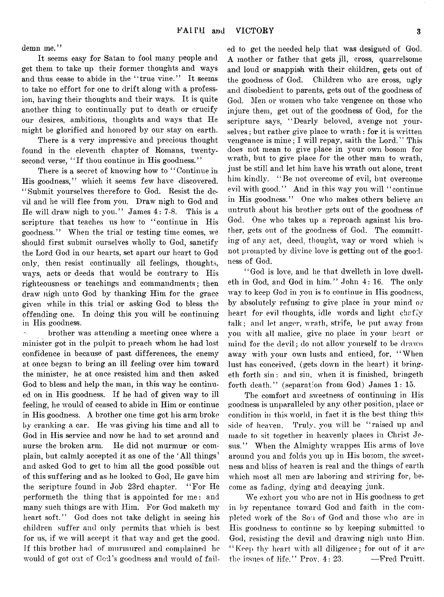demn me."

It seems easy for Satan to fool many people and get them to take up their former thoughts and ways and thus cease to abide in the "true vine." It seems to take no effort for one to drift along with a profession, having their thoughts and their ways. It is quite another thing to continually put to death or crucify our desires, ambitions, thoughts and ways that He might be glorified and honored by our stay on earth.

There is a very impressive and precious thought found in the eleventh chapter of Romans, twentysecond verse, "If thou continue in His goodness."

There is a secret of knowing how to "Continue in His goodness," which it seems few have discovered. "Submit yourselves therefore to God. Resist the devil and he will flee from you. Draw nigh to God and He will draw nigh to you." James 4: 7-8. This is a scripture that teaches us how to "continue in His goodness." When the trial or testing time comes, we should first submit ourselves wholly to God, sanctify the Lord God in our hearts, set apart our heart to God only, then resist continually all feelings, thoughts, ways, acts or deeds that would be contrary to His righteousness or teachings and commandments; then draw nigh unto God by thanking Him for the grace given while in this trial or asking God to bless the offending one. In doing this you will be continuing in His goodness.

brother was attending a meeting once where a minister got in the pulpit to preach whom he had lost confidence in because of past differences, the enemy at once began to bring an ill feeling over him toward the minister, he at once resisted him and then asked God to bless and help the man, in this way he continued on in His goodness. If he had of given way to ill feeling, he would of ceased to abide in Him or continue in His goodness. A brother one time got his arm broke by cranking a car. He was giving his time and all to God in His service and now he had to set around and nurse the broken arm. He did not murmur or complain, but calmly accepted it as one of the ' All things' and asked God to get to him all the good possible out of this suffering and as he looked to God, He gave him the scripture found in Job 23rd chapter. "For He performeth the thing that is appointed for me: and many such things are with Him. For God maketh my heart soft." God does not take delight in seeing his children suffer and only permits that which is best for us, if we will accept it that way and get the good. If this brother had of murmured and complained he would of got out of God's goodness and would of failed to get the needed help that was designed of God. A mother or father that gets ill, cross, quarrelsome and loud or snappish with their children, gets out of the goodness of God. Children who are cross, ugly and disobedient to parents, gets out of the goodness of God. Men or women who take vengence on those who injure them, get out of the goodness of God, for the scripture says, "Dearly beloved, avenge not yourselves ; but rather give place to wrath : for it is written vengeance is mine; I will repay, saith the Lord." This does not mean to give place in your own bosom for wrath, but to give place for the other man to wrath, just be still and let him have his wrath out alone, treat him kindly. "Be not overcome of evil, but overcome evil with good." And in this way you will "continue in His goodness." One who makes others believe an untruth about his brother gets out of the goodness of God. One who takes up a reproach against his brother, gets out of the goodness of God. The committing of any act, deed, thought, way or word which is not prompted by divine love is getting out of the goodness of God.

"God is love, and he that dwelleth in love dwelleth in God, and God in him." John 4: 16. The only way to keep God in you is to continue in His goodness, by absolutely refusing to give place in your mind or heart for evil thoughts, idle words and light chaffy talk; and let anger, wrath, strife, be put away from you with all malice, give no place in your heart or mind for the devil; do not allow yourself to be drawn away with your own lusts and enticed, for, "When lust has conceived, (gets down in the heart) it bringeth forth sin: and sin, when it is finished, bringeth forth death." (separation from God) James 1: 15.

The comfort and sweetness of continuing in His goodness is unparalleled by any other position, place or condition in this world, in fact it is the best thing this side of heaven. Truly, you will be "raised up and made to sit together in heavenly places in Christ Jesus." When the Almighty wrappes His arms of love around you and folds you up in His bosom, the sweetness and bliss of heaven is real and the things of earth which most all men are laboring and striving for, become as fading, dying and decaying junk.

We exhort you who are not in His goodness to get in by repentance toward God and faith in the completed work of the Son of God and those who are in His goodness to continue so by keeping submitted to God, resisting the devil and drawing nigh unto Him. "Keep thy heart with all diligence; for out of it are the issues of life." Prov.  $4:23.$  -Fred Pruitt.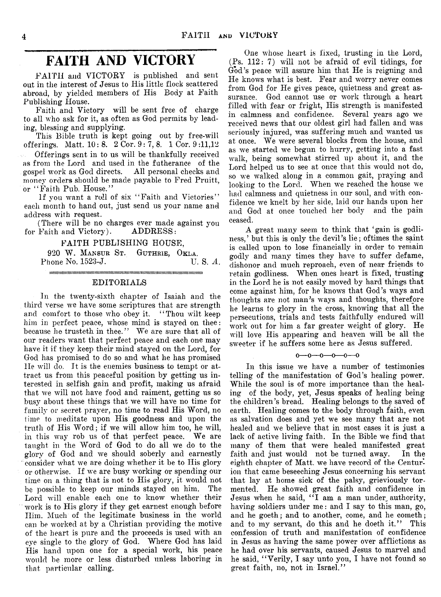# **FAITH AND VICTORY**

FAITH and VICTORY is published and sent out in the interest of Jesus to His little flock scattered abroad, by yielded members of His Body at Faith Publishing House.

Faith and Victory will be sent free of charge to all who ask for it, as often as God permits by leading, blessing and supplying.

This Bible truth is kept going out by free-will offerings. Matt.  $10: 8. 2$  Cor.  $9: 7, 8. 1$  Cor.  $9:11,12$ 

Offerings sent in to us will be thankfully received as from the Lord and used in the futherance of the gospel work as God directs. All personal checks and gospel work as God directs. money orders should be made payable to Fred Pruitt, or " Faith Pub. House."

If you want a roll of six "Faith and Victories" each month to hand out, just send us your name and address with request.

(There will be no charges ever made against you<br>Faith and Victory). ADDRESS: for Faith and Victory).

#### FAITH PUBLISHING HOUSE,

920 W. MANSUR ST. GUTHRIE, OKLA.<br>hone No. 1523-J. U. S. A. Phone No. 1523-J.

iiitiiiiiiiimiiiiiiiiiiiiiiiiiiiiimiiiiimiiiiiiiiiimmiiiiiiiMiiiiimiimiiiiimiiiiiiiiiiiimiiiiiiiiiiiiiiiii EDITORIALS

In the twenty-sixth chapter of Isaiah and the third verse we have some scriptures that are strength and comfort to those who obey it. "Thou wilt keep him in perfect peace, whose mind is stayed on thee: because he trusteth in thee.'' We are sure that all of our readers want that perfect peace and each one may have it if they keep their mind stayed on the Lord, for God has promised to do so and what he has promised He will do. It is the enemies business to tempt or attract us from this peaceful position by getting us interested in selfish gain and profit, making us afraid that we will not have food and raiment, getting us so busy about these things that we will have no time for family or secret prayer, no time to read His Word, no time to meditate upon His goodness and upon the truth of His Word; if we will allow him too, he will, in this way rob us of that perfect peace. We are taught in the Word of God to do all we do to the glory of God and we should soberly and earnestly consider what we are doing whether it be to His glory or otherwise. If we are busy working or spending our time on a thing that is not to His glory, it would not be possible to keep our minds stayed on him. The Lord will enable each one to know whether their work is to His glory if they get earnest enough before Him. Much of the legitimate business in the world can be worked at by a Christian providing the motive of the heart is pure and the proceeds is used with an eye single to the glory of God. Where God has laid His hand upon one for a special work, his peace would be more or less disturbed unless laboring in that particular calling.

One whose heart is fixed, trusting in the Lord, (Ps. 112: 7) will not be afraid of evil tidings, for God's peace will assure him that He is reigning and He knows what is best. Fear and worry never comes from God for He gives peace, quietness and great assurance. God cannot use or work through a heart filled with fear or fright, His strength is manifested in calmness and confidence. Several years ago we received news that our oldest girl had fallen and was seriously injured, was suffering much and wanted us at once. We were several blocks from the house, and as we started we begun to hurry, getting into a fast walk, being somewhat stirred up about it, and the Lord helped us to see at once that this would not do, so we walked along in a common gait, praying and looking to the Lord. When we reached the house we had calmness and quietness in our soul, and with confidence we knelt by her side, laid our hands upon her and God at once touched her body and the pain ceased.

A great many seem to think that 'gain is godliness,' but this is only the devil's lie; of times the saint is called upon to lose financially in order to remain godly and many times they have to suffer defame, dishonor and much reproach, even of near friends to retain godliness. When ones heart is fixed, trusting in the Lord he is not easily moved by hard things that come against him, for he knows that God's ways and thoughts are not man?s ways and thoughts, therefore he learns to glory in the cross, knowing that all the persecutions, trials and tests faithfully endured will work out for him a far greater weight of glory. He will love His appearing and heaven will be all the sweeter if he suffers some here as Jesus suffered.

 $0 - 0 - 0 - 0 - 0 - 0$ 

In this issue we have a number of testimonies telling of the manifestation of God's healing power. While the soul is of more importance than the healing of the body, yet, Jesus speaks of healing being the children's bread. Healing belongs to the saved of earth. Healing comes to the body through faith, even as salvation does and yet we see many that are not healed and we believe that in most cases it is just a lack of active living faith. In the Bible we find that many of them that were healed manifested great<br>faith and just would not be turned away. In the faith and just would not be turned away. eighth chapter of Matt, we have record of the Centurion that came beseeching Jesus concerning his servant that lay at home sick of the palsy, grieviously tormented. He showed great faith and confidence in Jesus when he said, " I am a man under, authority, having soldiers under me: and I say to this man, go, and he goeth; and to another, come, and he eometh; and to my servant, do this and he doeth it." This confession of truth and manifestation of confidence in Jesus as having the same power over afflictions as he had over his servants, caused Jesus to marvel and he said, " Verily, I say unto you, I have not found so great faith, no, not in Israel."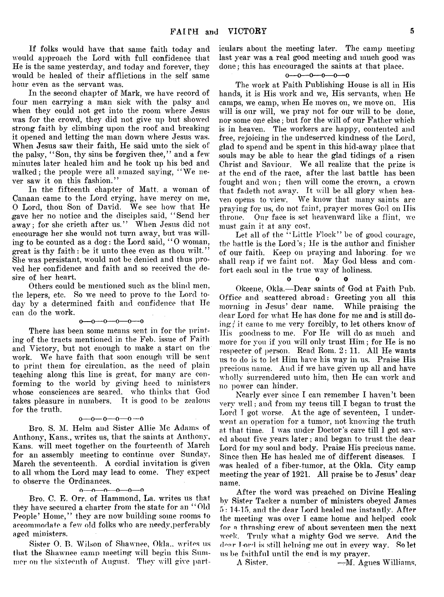If folks would have that same faith today and would approach the Lord with full confidence that He is the same yesterday, and today and forever, they would be healed of their afflictions in the self same hour even as the servant was.

In the second chapter of Mark, we have record of four men carrying a man sick with the palsy and when they could not get into the room where Jesus was for the crowd, they did not give up but showed strong faith by climbing upon the roof and breaking it opened and letting the man down where Jesus was. When Jesus saw their faith, He said unto the sick of the palsy, "Son, thy sins be forgiven thee," and a few minutes later healed him and he took up his bed and walked; the people were all amazed saying, " We never saw it on this fashion."

In the fifteenth chapter of Matt, a woman of Canaan came to the Lord crying, have mercy on me, 0 Lord, thou Son of David. We see how that He gave her no notice and the disciples said, " Send her away; for she crieth after us." When Jesus did not encourage her she would not turn away, but was willing to be counted as a dog: the Lord said, " 0 woman, great is thy faith: be it unto thee even as thou wilt." She was persistant, would not be denied and thus proved her confidence and faith and so received the desire of her heart.

Others could be mentioned such as the blind men, the lepers, etc. So we need to prove to the Lord today by a determined faith and confidence that He can do the work.

#### $0 - 0 - 0 - 0 - 0 - 0$

There has been some means sent in for the printing of the tracts mentioned in the Feb. issue of Faith and Victory, but not enough to make a start on the work. We have faith that soon enough will be sent to print them for circulation, as the need of plain teaching along this line is great, for many are conforming to the world by giving heed to ministers whose consciences are seared, who thinks that God takes pleasure in numbers. It is good to be zealous for the truth.

#### $0-0-0-0-0$

Bro. S. M. Helm and Sister Allie Me Adams of Anthony, Kans., writes us, that the saints at Anthony, Kans. will meet together on the fourteenth of March for an assembly meeting to continue over Sunday, March the seventeenth. A cordial invitation is given to all whom the Lord may lead to come. They expect to observe the Ordinances.

#### o— o— o— o— o— o

Bro. C. E. Orr. of Hammond, La. writes us that they have secured a charter from the state for an "Old People' Home," they are now building some rooms to accommodate a few old folks who are needy,perferablv aged ministers.

Sister O. B. Wilson of Shawnee, Okla.. writes us that the Shawnee camp meeting will begin this Summer on the sixteenth of August. They will give particulars about the meeting later. The camp meeting last year was a real good meeting and much good was done; this has encouraged the saints at that place.

#### $0 - 0 - 0 - 0 - 0 - 0$

The work at Faith Publishing House is all in His hands, it is His work and we, His servants, when He camps, we camp, when He moves on, we move on. His will is our will, we pray not for our will to be done. nor some one else; but for the will of our Father which is in heaven. The workers are happy, contented and free, rejoicing in the undeserved kindness of the Lord. glad to spend and be spent in this hid-away place that souls may be able to hear the glad tidings of a risen Christ and Saviour. We all realize that the prize is at the end of the race, after the last battle has been fought and won; then will come the crown, a crown that fadeth not away. It will be all glory when heaven opens to view. We know that many saints are praying for us, do not faint, prayer moves God on His throne. Our face is set heavenward like a flint, we must gain it at any cost.

Let all of the "Little Flock" be of good courage, the battle is the Lord's; He is the author and finisher of our faith. Keep on praying and laboring, for we shall reap if we faint not. May God bless and comfort each soul in the true way of holiness.

0 0 0

Okeene, Okla.—Dear saints of God at Faith Pub. Office and scattered abroad: Greeting you all this morning in Jesus' dear name. While praising the dear Lord for what He has done for me and is still doing:/ it came to me very forcibly, to let others know of His goodness to me. For He will do as much and more for you if you will only trust Him; for He is no respecter of person. Read Rom. 2: 11. All He wants us to do is to let Him have his way in us. Praise His precious name. And if we have given up all and have wholly surrendered unto him, then He can work and no power can hinder.

Nearly ever since I can remember I haven't been very well; and from my teens till I began to trust the Lord I got worse. At the age of seventeen, I underwent an operation for a tumor, not knowing the truth at that time. I was under Doctor's care till I got saved about five years later; and began to trust the dear Lord for my soul and body. Praise His precious name. Since then He has healed me of different diseases. I was healed of a fiber-tumor, at the Okla. City camp meeting the year of 1921. All praise be to Jesus' dear name.

After the word was preached on Divine Healing by Sister Tacker a number of ministers obeyed James 5: 14-15. and the dear Lord healed me instantly. After the meeting was over I came home and helped cook for a thrashing crew of about seventeen men the next week. Truly what a mighty God we serve. And the dear Lord is still helping me out in every way. So let us be faithful until the end is my prayer.

A Sister. —M. Agnes Williams,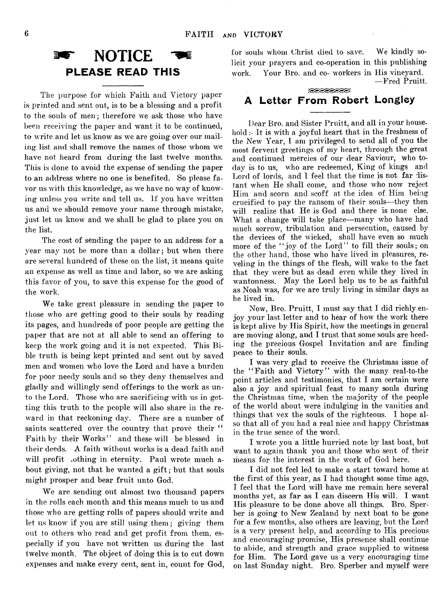

The purpose for which Faith and Victory paper is printed and sent out, is to be a blessing and a profit to the souls of men; therefore we ask those who have been receiving the paper and want it to be continued, to write and let us know as we are going over our mailing list and shall remove the names of those whom we have not heard from during the last twelve months. This is done to avoid the expense of sending the paper to an address where no one is benefited. So please favor us with this knowledge, as we have no way of knowing unless you write and tell us. If you have written us and we should remove your name through mistake, just let us know and we shall be glad to place you on the list.

The cost of sending the paper to an address for a year may not be more than a dollar; but when there are several hundred of these on the list, it means quite an expense as well as time and labor, so we are asking this favor of you, to save this expense for the good of the work.

We take great pleasure in sending the paper to those who are getting good to their souls by reading its pages, and hundreds of poor people are getting the paper that are not at all able to send an offering to keep the work going and it is not expected. This Bible truth is being kept printed and sent out by saved men and women who love the Lord and have a burden for poor needy souls and so they deny themselves and gladly and willingly send offerings to the work as unto the Lord. Those who are sacrificing with us in getting this truth to the people will also share in the reward in that reckoning day. There are a number of saints scattered over the country that prove their " Faith by their Works" and these will be blessed in their deeds. A faith without works is a dead faith and will profit othing in eternity. Paul wrote much about giving, not that he wanted a gift; but that souls might prosper and bear fruit unto God.

We are sending out almost two thousand papers in the rolls each month and this means much to us and those who are getting rolls of papers should write and let us know if you are still using them; giving them out to others who read and get profit from them, especially if you have not written us during the last twelve month. The object of doing this is to cut down expenses and make every cent, sent in, count for God,

for souls whom Christ died to save. We kindly solicit your prayers and co-operation in this publishing work. Your Bro. and co- workers in His vineyard. —Fred Pruitt,

# A Letter From Robert Longley

Dear Bro. and Sister Pruitt, and all in your household :- It is with a joyful heart that in the freshness of the New Year, I am privileged to send all of you the most fervent greetings of my heart, through the great and continued mercies of our dear Saviour, who today is to us, who are redeemed, King of kings and Lord of lords, and I feel that the time is not far distant when He shall come, and those who now reject Him and scorn and scoff at the idea of Him being crucified to pay the ransom of their souls—they then will realize that He is God and there is none else. What a change will take place—many who have had much sorrow, tribulation and persecution, caused by the devices of the wicked, shall have even so much more of the "joy of the Lord" to fill their souls; on the other hand, those who have lived in pleasures, reveling in the things of the flesh, will wake to the fact that they were but as dead even while they lived in wantonness. May the Lord help us to be as faithful as Noah was, for we are truly living in similar days as he lived in.

Now, Bro. Pruitt, I must say that I did richly enjoy your last letter and to hear of how the work there is kept alive by His Spirit, how the meetings in general are moving along, and I trust that some souls are heeding the precious Gospel Invitation and are finding peace to their souls.

I was very glad to receive the Christmas issue of the "Faith and Victory" with the many real-to-the point articles and testimonies, that I am certain were also a joy and spiritual feast to many souls during the Christmas time, when the majority of the people of the world about were indulging in the vanities and things that vex the souls of the righteous. I hope also that all of you had a real nice and happy Christmas in the true sence of the word.

I wrote you a little hurried note by last boat, but want to again thank you and those who sent of their means for the interest in the work of God here.

I did not feel led to make a start toward home at the first of this year, as I had thought some time ago, I feel that the Lord will have me remain here several months yet, as far as I can discern His will. I want His pleasure to be done above all things. Bro. Sperber is going to New Zealand by next boat to be gone for a few months, also others are leaving, but the Lord is a very present help, and according to His precious and encouraging promise, His presence shall continue to abide, and strength and grace supplied to witness for Him. The Lord gave us a very encouraging time on last Sunday night. Bro. Sperber and myself were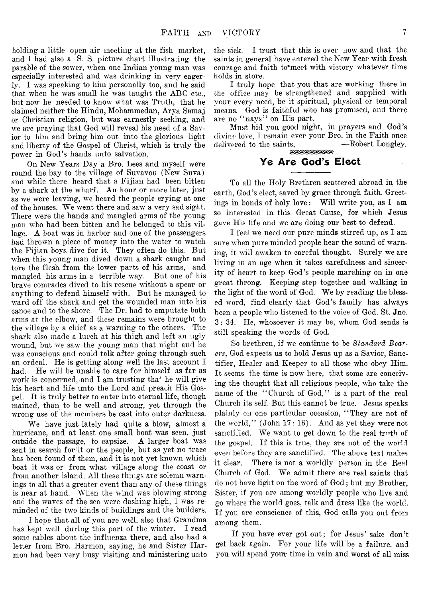holding a little open air meeting at the fish market, and I had also a S. S. picture chart illustrating the parable of the sower, when one Indian young man was especially interested and was drinking in very eagerly. I was speaking to him personally too, and he said that when he was small he was taught the ABC etc., but now he needed to know what was Truth, that he claimed neither the Hindu, Mohammedan, Arya Samaj or Christian religion, but was earnestly seeking, and we are praying that God will reveal his need of a Savior to him and bring him out into the glorious light and liberty of the Gospel of Christ, which is truly the power in God's hands unto salvation.

On New Years Day a Bro. Lees and myself were round the bay to the village of Suvavou (New Suva) and while there heard that a Fijian had been bitten by a shark at the wharf. An hour or more later, just as we were leaving, we heard the people crying at one of the houses. We went there and saw a very sad sight. There were the hands and mangled arms of the young man who had been bitten and he belonged to this village. A boat was in harbor and one of the passengers had thrown a piece of money into the water to watch the Fijian boys dive for it. They often do this. But when this young man dived down a shark caught and tore the flesh from the lower parts of his arms, and mangled his arms in a terrible way. But one of his brave comrades dived to his rescue without a spear or anything to defend himself with. But he managed to ward off the shark and get the wounded man into his canoe and to the shore. The Dr. had to amputate both arms at the elbow, and these remains were brought to the village by a chief as a warning to the others. The 'shark also made a lurch at his thigh and left an ugly wound, but we saw the young man that night and he was conscious and could talk after going through such an ordeal. He is getting along well the last account I had. He will be unable to care for himself as far as work is concerned, and I am trusting tha' he will give his heart and life unto the Lord and preach His Gospel. It is truly better to enter into eternal life, though mained, than to be well and strong, yet through the wrong use of the members be cast into outer darkness.

We have just lately had quite a blow, almost a hurricane, and at least one small boat was seen, just outside the passage, to capsize. A larger boat was sent in search for it or the people, but as yet no trace has been found of them, and it is not yet known which boat it was or from what village along the coast or from another island. All these things are solemn warnings to all that a greater event than any of these things is near at hand. When the wind was blowing strong and the waves of the sea were dashing high, I was reminded of the two kinds of buildings and the builders.

I hope that all of you are well, also that Grandma has kept well during this part of the winter. I read some cables about the influenza there, and also had a letter from Bro. Harmon, saying, he and Sister Harmon had been very busy visiting and ministering unto

the sick. 1 trust that this is over now and that the saints in general have entered the New Year with fresh courage and faith to' meet with victory whatever time holds in store.

I truly hope that you that are working there in the office may be strengthened and supplied with your every need, be it spiritual, physical or temporal means. God is faithful who has promised, and there are no "nays" on His part.

Must bid you good night, in prayers and God's divine love, I remain ever your Bro. in the Faith once delivered to the saints,

# Ye Are Cod's Elect

To all the Holy Brethren scattered abroad in the earth, God's elect, saved by grace through faith. Greetings in bonds of holy love: Will write you, as I am so interested in this Great Cause, for which Jesus gave His life and we are doing our best to defend.

I feel we need our pure minds stirred up, as I am sure when pure minded people hear the sound of warning, it will awaken to careful thought. Surely we are living in an age when it takes carefulness and sincerity of heart to keep God's people marching on in one great throng. Keeping step together and walking in the light of the word of God. We by reading the blessed word, find clearly that God's family has always been a people who listened to the voice of God. St. Jno. 3: 34. He, whosoever it may be, whom God sends is still speaking the words of God.

So brethren, if we continue to be *Standard Bearers*, God expects us to hold Jesus up as a Savior, Sanctifier, Healer and Keeper to all those who obey Him. It seems the time is now here, that some are conceiving the thought that all religious people, who take the name of the "Church of God," is a part of the real Church its self. But this cannot be true. Jesus speaks plainly on one particular occasion, "They are not of the world," (John 17: 16). And as yet they were not sanctified. We want to get down to the real truth of the gospel. If this is true, they are not of the world even before they are sanctified. The above text makes it clear. There is not a worldly person in the Real Church of God. We admit there are real saints that do not have light on the word of God; but my Brother, Sister, if you are among worldly people who live and go where the world goes, talk and dress like the world. If you are conscience of this, God calls you out from among them.

If you have ever got out; for Jesus' sake don't get back again. For your life will'be a failure, and you will spend your time in vain and worst of all miss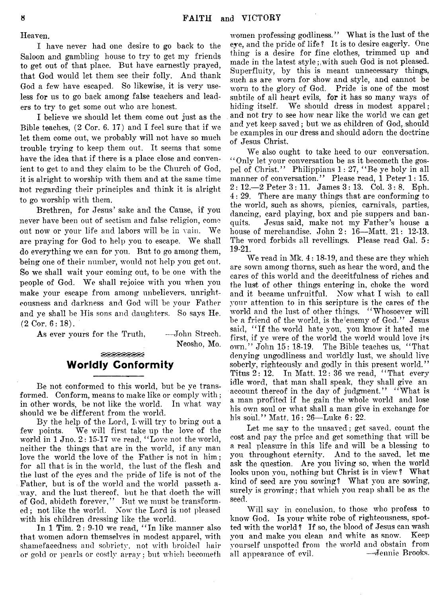Heaven.

I have never had one desire to go back to the Saloon and gambling house to try to get my friends to get out of that place. But have earnestly prayed, that God would let them see their folly. And thank God a few have escaped. So likewise, it is very useless for us to go back among, false teachers and leaders to try to get some out who are honest.

I believe we should let them come out just as the Bible teaches, (2 Cor. 6. 17) and I feel sure that if we let them come out, we probably will not have so much trouble trying to keep them out. It seems that some have the idea that if there is a place close and convenient to get to and they claim to be the Church of God, it is alright to worship with them and at the same time Inot regarding their principles and think it is alright to go worship with them.

Brethren, for Jesus' sake and the Cause, if you never have been out of sectism and false religion, come out now or your life and labors will be in vain. We are praying for God to help you to escape. We shall do everything we can for you. But to go among them, being one of their number, would not help you get out. So we shall wait your coming out, to be one with the people of God. We shall rejoice with you when you make your escape from among unbelievers, unrighteousness and darkness and God will be your Father and ye shall be His sons and daughters. So says He.  $(2 \text{ Cor. } 6:18).$ 

As ever yours for the Truth, -John Strech.

Neosho, Mo.

#### <u>eeeeeee</u> Worldly Conformity

Be not conformed to this world, but be ye transformed. Conform, means to make like or comply with; in other words, be not like the world. In what wav should we be different from the world.

By the help of the Lord, I will try to bring out a few points. We will first take up the love of the We will first take up the love of the world in 1 Jno. 2: 15-17 we read, "Love not the world, neither the things that are in the world, if any man love the world the love of the Father is not in him; for all that is in the world, the lust of the flesh and the lust of the eyes and the pride of life is not of the Father, but is of the world and the world passeth away, and the lust thereof, but he that doeth the will of God, abideth forever,'' But we must be transformed ;. not like the world. Now the Lord is not pleased with his children dressing like the world.

In 1 Tim. 2: 9-10 we read, "In like manner also that women adorn themselves in modest apparel, with shamefacedness and sobriety, not with broided hair or gold or pearls or costly array; but which becomefh women professing godliness." What is the lust of the eye, and the pride of life ? It is to desire eagerly. One thing is a desire for fine clothes, trimmed up and made in the latest style;,with such God is not pleased. Superfluity, by this is meant unnecessary things, such as are worn for show and style, and cannot be worn to the glory of God. Pride is one of the most subtile of all heart evils, for it has so many ways of hiding itself. We should dress in modest apparel; and not try to see how near like the world we can get and yet keep saved; but we as children of God, should be examples in our dress and should adorn the doctrine of Jesus Christ.

We also ought to take heed to our conversation. ' ' Only let your conversation be as it becometh the gospel of Christ." Philippians 1: 27, " Be ye holy in all manner of conversation." Please read, 1 Peter 1: 15.  $2: 12. - 2$  Peter  $3: 11$ . James  $3: 13$ . Col.  $3: 8$ . Eph. 4: 29. There are many things that are conforming to the world, such as shows, picnics, carnivals, parties, dancing, card playing, box and pie suppers and banquits. Jesus said, make not my Father's house a house of merchandise. John 2: 16—Matt. 21: 12-13. The word forbids all revellings. Please read Gal. 5: 19-21.

We read in Mk. 4: 18-19, and these are they which are sown among thorns, such as hear the word, and the cares of this world and the deceitfulness of riches and the lust of other things entering in, choke the word and it became unfruitful. Now what I wish to call your attention to in this scripture is the cares of the world and the lust of other things. " Whosoever will be a friend of the world, is the enemy of God." Jesus said, " If the world hate you, you know it hated me first, if ye were of the world the world would love its own." John 15: 18-19. The Bible teaches us, " That denying ungodliness and worldly lust, we should live soberly, righteously and godly in this present world." Titus  $2: 12$ . In Matt.  $12: 36$  we read, "That every idle word, that man shall speak, they shall give an account thereof in the day of judgment." "What is a man profited if he gain the whole world and lose his own soul or what shall a man give in exchange for his soul." Matt. 16 : 26—Luke 6: 22.

Let me say to the unsaved; get saved, count the cost and pay the price and get something that will be a real pleasure in this life and will be a blessing to you throughout eternity. And to the saved, let me ask the question. Are you living so, when the world looks upon you, nothing but Christ is in view ? What kind of seed are you sowing? What you are sowing, surely is growing; that which you reap shall be as the seed.

Will say in conclusion, to those who profess to know God. Is your white robe of righteousness, spotted with the world ? If so, the blood of Jesus can wash you and make you clean and white as snow. Keep yourself unspotted from the world and obstain from all appearance of evil.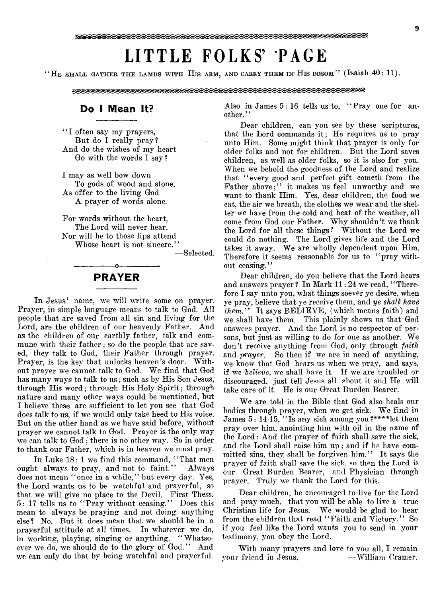# **LITTLE FOLKS' PAGE**

"He shall gather the lambs with His arm, and carry them in His bosom" (Isaiah  $40:11$ ).

#### 

## Do I Mean It?

"I often say my prayers, But do I really pray? And do the wishes of my heart Go with the words I say ?

I may as well bow down To gods of wood and stone, As offer to the living God A prayer of words alone.

For words without the heart, The Lord will never hear. Nor will he to those lips attend Whose heart is not sincere."

— Selected.

# -----------------o----------------- PRAYER

In Jesus' name, we will write some on prayer. Prayer, in simple language means to talk to God. All people that are saved from all sin and living for the Lord, are the children of our heavenly Father. And as the children of our earthly father, talk and commune with their father : so do the people that are saved, they talk to God, their Father through prayer. Prayer, is the key that unlocks heaven's door. Without prayer we cannot talk to God. We find that God has many ways to talk to us; such as by His Son Jesus, through His word; through His Holy Spirit; through nature and many other ways could be mentioned, but I believe these are sufficient to let you see that God does talk to us, if we would only take heed to His voice. But on the other hand as we have said before, without prayer we cannot talk to God. Prayer is the only way we can talk to God; there is no other way. So in order to thank our Father, which is in heaven we must pray.

In Luke  $18:1$  we find this command, "That men ought always to pray, and not to faint." Always does not mean "once in a while," but every day. Yes, the Lord wants us to be watchful and prayerful, so that we will give no place to the Devil. First Thess. 5: 17 tells us to "Pray without ceasing." Does this mean to always be praying and not doing anything else ? No. But it does mean that we should be in a prayerful attitude at all times. In whatever we do, in working, playing, singing or anything. "Whatsoever we do, we should do to the glory of God." And we can only do that by being watchful and prayerful.

Also in James  $5:16$  tells us to,  $"Prav$  one for another."

Dear children, can you see by these scriptures, that the Lord commands it; He requires us to pray unto Him. Some might think that prayer is only for older folks and not for children. But the Lord saves children, as well as older folks, so it is also for you. When we behold the goodness of the Lord and realize that "every good and perfect gift cometh from the Father above;" it makes us feel unworthy and we want to thank Him. Yes, dear children, the food we eat, the air we breath, the clothes we wear and the shelter we have from the cold and heat of the weather, all come from God our Father. Why shouldn't we thank the Lord for all these things? Without the Lord we could do nothing. The Lord gives life and the Lord takes it away. We are wholly dependent upon Him. Therefore it seems reasonable for us to "pray without ceasing."

Dear children, do you believe that the Lord hears and answers prayer? In Mark 11:24 we read, "Therefore I say unto you, what things soever ye desire, when ye pray, believe that ye receive them, and *ye shall have them.*" It says BELIEVE, (which means faith) and we shall have them. This plainly shows us that God answers prayer. And the Lord is no respector of persons, but just as willing to do for one as another. We don't receive anything from God, only through *faith* and *prayer.* So then if we are in need of anything, we know that God hears us when we pray, and says, if we *believe,* we shall have it. If we are troubled or discouraged, just tell Jesns all ebont it and He will take care of it. He is our Great Burden Bearer.

We are told in the Bible that God also heals our bodies through prayer, when we get sick. We find in James  $5: 14-15$ , "Is any sick among you?\*\*\*\*let them pray over him, anointing him with oil in the name of the Lord: And the prayer of faith shall save the sick, and the Lord shall raise him up; and if he have committed sins, they shall be forgiven him." It says the prayer of faith shall save the sick, so then the Lord is our Great Burden Bearer, and Physician through prayer. Truly we thank the Lord for this.

Dear children, be encouraged to live for the Lord and pray much, that you will be able to live a true Christian life for Jesus. We would be glad to hear from the children that read "Faith and Victory." So if you feel like the Lord wants you to send in your testimony, you obey the Lord.

With many prayers and love to you all, I remain your friend in Jesus, — William Cramer.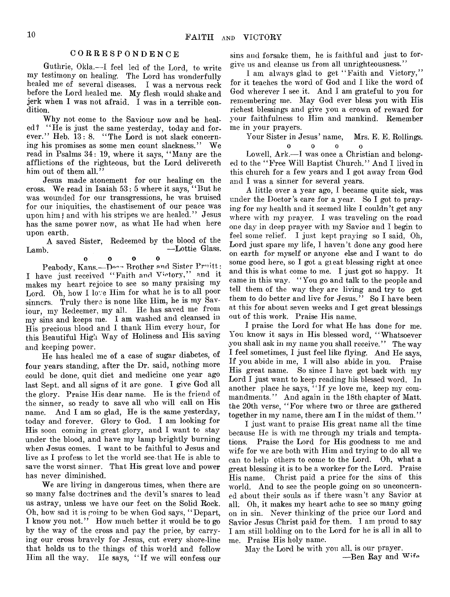#### CORRESPONDENCE

Guthrie, Okla.— I feel led of the Lord, to write my testimony on healing. The Lord has wonderfully healed me of several diseases. I was a nervous reck before the Lord healed me. My flesh would shake and jerk when I was not afraid. I was in a terrible condition.

Why not come to the Saviour now and be healed? " He is just the same yesterday, today and forever." Heb. 13: 8. "The Lord is not slack concerning his promises as some men count slackness." We read in Psalms 34: 19, where it says, " Many are the afflictions of the righteous, but the Lord delivereth him out of them all."

Jesus made atonement for our healing on the cross. We read in Isaiah 53: 5 where it says, " But he was wounded for our transgressions, he was bruised for our iniquities, the chastisement of our peace was upon him; and with his stripes we are healed." Jesus has the same power now, as what He had when here upon earth.

A saved Sister, Redeemed by the blood of the Lamb. —Lottie Glass.

0 0 0 0 Peabody, Kans.—Doon Brother and Sister Pruitt: I have just received "Faith and Victory," and it makes my heart rejoice to see so many praising my Lord. Oh, how I love Him for what he is to all poor sinners. Truly there is none like Him, he is my Saviour, my Redeemer, my all. He has saved me from my sins and keeps me. I am washed and cleansed in His precious blood and I thank Him every hour, for this Beautiful High Way of Holiness and His saving and keeping power.

He has healed me of a case of sugar diabetes, of four years standing, after the Dr. said, nothing more could be done, quit diet and medicine one year ago last Sept, and all signs of it are gone. I give God all the glory. Praise His dear name. He is the friend of the sinner, so ready to save all who will call on His name. And I am so glad, He is the same yesterday, today and forever. Glory to God. I am looking for His soon coming in great glory, and I want to stay under the blood, and have my lamp brightly burning when Jesus comes. I want to be faithful to Jesus and live as I profess to let the world see.that He is able to save the worst sinner. That His great love and power has never diminished.

We are living in dangerous times, when there are so many false doctrines and the devil's snares to lead us astray, unless we have our feet on the Solid Rock. Oh, how sad it is going to be when God says, " Depart, I know you not." How much better it would be to go by the way of the cross and pay the price, by carrying our cross bravely for Jesus, cut every shore-line that holds us to the things of this world and follow Him all the way. IIe says, "If we will confess our sins and forsake them, he is faithful and just to forgive us and cleanse us from all unrighteousness."

I am always glad to get " Faith and Victory," for it teaches the word of God and I like the word of God wherever I see it. And I am grateful to you for remembering me. May God ever bless you with His richest blessings and give you a crown of reward for your faithfulness to Him and mankind. Remember me in your prayers.

Your Sister in Jesus' name, Mrs. E. E. Rollings.

0 0 0 0 Lowell, Ark.— I was once a Christian and belonged to the " Free Will Baptist Church." And I lived in this church for a few years and I got away from God and I was a sinner for several years.

A little over a year ago, I became quite sick, was under the Doctor's care for a year. So I got to praying for my health and it seemed like I couldn't get any where with my prayer. I was traveling on the road one day in deep prayer with my Savior and I begin to feel some relief. I just kept praying so I said, Oh, Lord just spare my life, I haven't done any good here on earth for myself or anyone else and I want to do some good here, so I got a great blessing right at once and this is what come to me. I just got so happy. It came in this way. " You go and talk to the people and tell them of the way they are living and try to get them to do better and live for Jesus." So I have been at this for about seven weeks and I get great blessings out of this work. Praise His name.

I praise the Lord for what He has done for me. You know it says in His blessed word, "Whatsoever you shall ask in my name you shall receive." The way I feel sometimes, I just feel like flying. And He says, If you abide in me, I will also abide in you. Praise His great name. So since I have got back with my Lord I just want to keep reading his blessed word. In another place he says, "If ye love me, keep my commandments." And again in the 18th chapter of Matt, the 20th verse, " For where two or three are gathered together in my name, there am I in the midst of them."

I just want to praise His great name all the time because He is with me through my trials and temptations. Praise the Lord for His goodness to me and wife for we are both with Him and trying to do all we can to help others to come to the Lord. Oh, what a great blessing it is to be a worker for the Lord. Praise His name. Christ paid a price for the sins of this world. And to see the people going on so unconcerned about their souls as if there wasn't any Savior at all. Oh, it makes my heart ache to see so many going on in sin. Never thinking of the price our Lord and Savior Jesus Christ paid for them. I am proud to say I am still holding on to the Lord for he is all in all to me. Praise His holy name.

May the Lord be with you all, is our prayer. -Ben Ray and Wife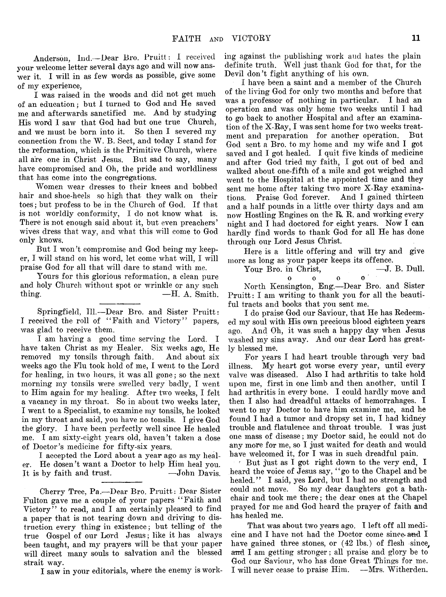Anderson, Ind.— Dear Bro. Pruitt: I received your welcome letter several days ago and will now answer it. I will in as few words as possible, give some of my experience,

I was raised in the woods and did not get much of an education; but I turned to God and He saved me and afterwards sanctified me. And by studying His word I saw that God had but one true Church,<br>and we must be born into it. So then I severed my and we must be born into it. connection from the W. B. Sect, and today I stand for the reformation, which is the Primitive Church, where all are one in Christ Jesus. But sad to say, many have compromised and Oh, the pride and worldliness that has come into the congregations.

Women wear dresses to their knees and bobbed hair and shoe-heels so high that they walk on their toes; but profess to be in the Church of God. If that is not worldly conformity, I do not know what is. There is not enough said about it, but even preachers' wives dress that way, and what this will come to God only knows.

But I won't compromise and God being my keeper, I will stand on his word, let come what will, I will praise God for all that will dare to stand with me.

Yours for this glorious reformation, a clean pure and holy Church without spot or wrinkle or any such  $\text{thing.}$   $\text{=H. A. Smith.}$ 

Springfield, 111.—Dear Bro. and Sister Pruitt: I received the roll of "Faith and Victory" papers, was glad to receive them.

I am having a good time serving the Lord. I have taken Christ as my Healer. Six weeks ago, He removed my tonsils through faith. And about six weeks ago the Flu took hold of me, I went to the Lord for healing, in two hours, it was all gone; so the next morning my tonsils were swelled very badly, I went to Him again for my healing. After two weeks, I felt a vacancy in my throat. So in about two weeks later, I went to a Specialist, to examine my tonsils, he looked in my throat and said, you have no tonsils. I give God the glory. I have been perfectly well since He healed me. I am sixty-eight years old, haven't taken a dose of Doctor's medicine for fifty-six years.

I accepted the Lord about a year ago as my healer. He dosen't want a Doctor to help Him heal you. It is by faith and trust. — John Davis.

Cherry Tree, Pa.— Dear Bro. Pruitt: Dear Sister Fulton gave me a couple of your papers "Faith and Victory" to read, and I am certainly pleased to find a paper that is not tearing down and driving to distruction every thing in existence; but telling of the true Gospel of our Lord Jesus; like it has always been taught, and my prayers will be that your paper will direct many souls to salvation and the blessed strait way.

I saw in your editorials, where the enemy is work-

ing against the publishing work and hates the plain definite truth. Well just thank God for that, for the Devil don't fight anything of his own.

I have been a saint and a member of the Church of the living God for only two months and before that was a professor of nothing in particular. operation and was only home two weeks until I had to go back to another Hospital and after an examination of the X-Ray, I was sent home for two weeks treatment and preparation for another operation. But God sent a Bro. to my home and my wife and I got saved and I got healed. I quit five kinds of medicine and after God tried my faith, I got out of bed and walked about one-fifth of a mile and got weighed and went to the Hospital at the appointed time and they sent me home after taking two more X-Ray examinations. Praise God forever. And I gained thirteen and a half pounds in a little over thirty days and am now Hostling Engines on the R. R. and working every night and I had doctored for eight years. Now I can hardly find words to thank God for all He has done through our Lord Jesus Christ.

Here is a little offering and will try and give more as long as your paper keeps its offence.<br>
Your Bro. in Christ. —J. B. Dull.

Your Bro. in Christ, o o o o

North Kensington, Eng.—Dear Bro. and Sister Pruitt: I am writing to thank you for all the beautiful tracts and books that you sent me.

I do praise God our Saviour, that He has Redeemed my soul with His own precious blood eighteen years ago. And 0h, it was such a happy day when Jesus washed my sins away. And our dear Lord has greatly blessed me.

For years I had heart trouble through very bad illness. My heart got worse every year, until every valve was diseased. Also I had arthritis to take hold upon me, first in one limb and then another, until I had arthritis in every bone. I could hardly move and then I also had dreadful attacks of hemorrahages. I went to my Doctor to have him examine me, and he found I had a tumor and dropsy set in, I had kidney trouble and flatulence and throat trouble. I was just one mass of disease; my Doctor said, he could not do any more for me, so I just waited for death and would have welcomed it, for I was in such dreadful pain.

? But just as I got right down to the very end, I heard the voice of Jesus say, " go to the Chapel and be healed." I said, yes Lord, but I had no strength and could not move. So my dear daughters got a bathchair and took me there; the dear ones at the Chapel prayed for me and God heard the prayer of faith and has healed me.

That was about two years ago. I left off all medicine and I have not had the Doctor come since and I have gained three stones, or (42 lbs.) of flesh since, and I am getting stronger; all praise and glory be to God our Saviour, who has done Great Things for me. I will never cease to praise Him. —Mrs. Witherden.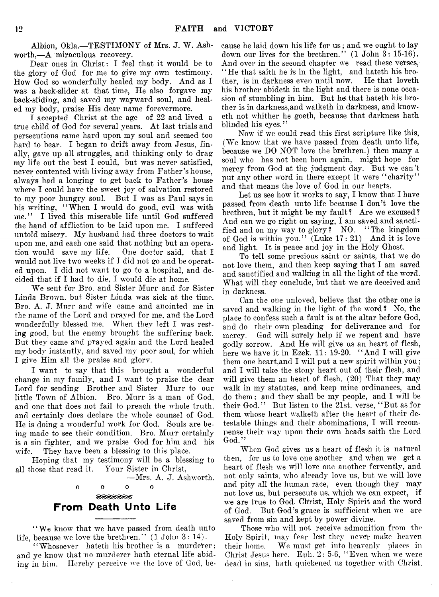Albion, Okla.— TESTIMONY of Mrs. J. W. Ashworth,—A miraculous recovery.

Dear ones in Christ: I feel that it would be to the glory of God for me to give my own testimony. How God so wonderfully healed my body. And as I was a back-slider at that time, He also forgave my back-sliding, and saved my wayward soul, and healed my body, praise His dear name forevermore.

I accepted Christ at the age of 22 and lived a true child of God for several years. At last trials and persecutions came hard upon my soul and seemed too hard to bear. I began to drift away from Jesus, finally, gave up all struggles, and thinking only to drag my life out the best I could, but was never satisfied, never contented with living away from Father's house, always had a longing to get back to Father's house where I could have the sweet joy of salvation restored to my poor hungry soul. But I was as Paul says in his writing, "When I would do good, evil was with me." I lived this miserable life until God suffered the hand of affliction to be laid upon me. I suffered untold misery. My husband had three doctors to wait upon me, and each one said that nothing but an operation would save my life. One doctor said, that I would not live two weeks if I did not go and be operated upon. I did not want to go to a hospital, and decided that if I had to die, I would die at home.

We sent for Bro. and Sister Murr and for Sister Linda Brown, but Sister Linda was sick at the time. Bro. A. J. Murr and wife came and anointed me in the name of the Lord and prayed for me, and the Lord wonderfully blessed me. When they left I was resting good, but the enemy brought the suffering back. But they came and prayed again and the Lord healed my body instantly, and saved my poor soul, for which I give Him all the praise and glorv.

I want to say that this brought a wonderful change in my family, and I want to praise the dear Lord for sending Brother and Sister Murr to our little Town of Albion. Bro. Murr is a man of God, and one that does not fail to preach the whole truth, and certainly does declare the whole counsel of God. He is doing a wonderful work for God. Souls are being made to see their condition. Bro. Murr certainly is a sin fighter, and we praise God for him and his wife. They have been a blessing to this place.

Hoping that my testimony will be a blessing to all those that read it. Your Sister in Christ,

—Mrs. A. J. Ashworth,

**oooo**  $\theta$ **DISPIRILLY** From Death Unto Life

" We know that we have passed from death unto life, because we love the brethren." (1 John 3: 14).

"Whosoever hateth his brother is a murderer; and ye know that no murderer hath eternal life abiding in him, Hereby perceive we the love of God, be-

cause he laid down his life for us; and we ought to lay down our lives for the brethren." (1 John 3: 15-16). And over in the second chapter we read these verses, " He that saith he is in the light, and hateth his brother, is in darkness even until now. He that loveth his brother abideth in the light and there is none occasion of stumbling in him. But he, that hateth his brother is in darkness,and walketh in darkness, and knoweth not whither he goeth, because that darkness hath blinded his eyes."

Now if we could read this first scripture like this, (We know that we have passed from death unto life, because we DO NOT love the brethren.) then many a soul who has not been born again, might hope for mercy from God at the judgment day. But we can't put any other word in there except it were "charity" and that means the love of God in our hearts.

Let us see how it works to say, I know that I have passed from death unto life because I don't love the brethren, but it might be my fault? Are we excused? And can we go right on saying, I am saved and sanctified and on my way to glory ? NO. " The kingdom of God is within you." (Luke 17: 21) And it is love and light. It is peace and joy in the Holy Ghost.

To tell some precious saint or saints, that we do not love them, and then keep saying that I am saved and sanctified and walking in all the light of the word. What will they conclude, but that we are deceived and in darkness.

Can the one unloved, believe that the other one is saved and walking in the light of the word ? No, the place to confess such a fault is at the altar before God, and do their own pleading for deliverance and for mercy. God will surely help if we repent and have godly sorrow. And He will give us an heart of flesh, here we have it in Ezek. 11: 19-20. " And I will give them one heart,and I will put a new spirit within you; and I will take the stony heart out of their flesh, and will give them an heart of flesh. (20) That they may walk in my statutes, and keep mine ordinances, and do them; and they shall be my people, and I will be their God." But listen to the 21st. verse, " But as for them whose heart walketh after the heart of their detestable things and their abominations, I will recompense their wav upon their own heads saith the Lord God."

When God gives us a heart of flesh it is natural then, for us to love one another and when we get a heart of flesh we will love one another fervently, and not only saints, who already love us, but we will love and pity all the human race, even though they may not love us, but persecute us, which we can expect, if we are true to God, Christ, Holy Spirit and the word of God. But God's grace is sufficient when we are saved from sin and kept by power divine.

Those who will not receive admonition from the Holy Spirit, may fear lest they never make heaven their home. We must get into heavenly places in Christ Jesus here. Eph. 2: 5-6, " Even when we were dead in sins, hath quickened us together with Christ,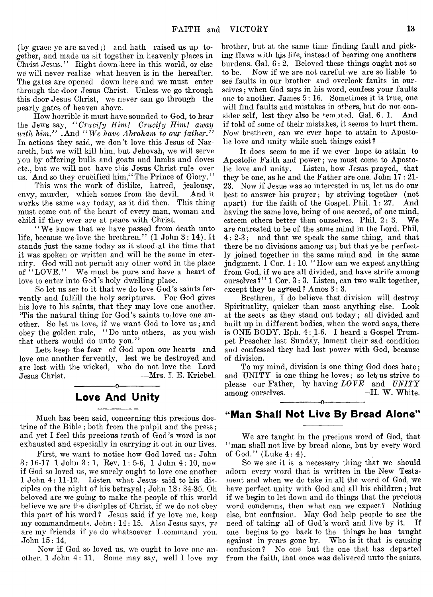(by grace ye are saved;) and hath raised us up together, and made us sit together in heavenly places in Christ Jesus." Right down here in this world, or else we will never realize what heaven is in the hereafter. The gates are opened down here and we must enter through the door Jesus Christ. Unless we go through this door Jesus Christ, we never can go through the pearly gates of heaven above.

How horrible it must have sounded to God, to hear the Jews say, *" Crucify Him! Crucify Him! away with him.*" .And "We have Abraham to our father." In actions they said, we don't love this Jesus of Nazareth, but we will kill him, but Jehovah, we will serve you by offering bulls and goats and lambs and doves etc., but we will not have this Jesus Christ rule over us. And so they crucified him, "The Prince of Glory."

This was the work of dislike, hatred, jealousy, envy, murder, which comes from the devil. And it works the same way today, as it did then. This thing must come out of the heart of every man, woman and child if they ever are at peace with Christ.

" We know that we have passed from death unto life, because we love the brethren." (1 John 3: 14). It stands just the same today as it stood at the time that it was spoken or written and will be the same in eternity. God will not permit any other word in the place of "LOVE." We must be pure and have a heart of love to enter into God's holy dwelling place.

So let us see to it that we do love God's saints fervently and fulfill the holy scriptures. For God gives his love to his saints, that they may love one another. 'Tis the natural thing for God's saints to love one another. So let us love, if we want God to love us; and obey the golden rule, "Do unto others, as you wish that others would do unto you."

Lets keep the fear of God upon our hearts and love one another fervently, lest we be destroyed and are lost with the wicked, who do not love the Lord Jesus Christ. ——Mrs. I. E. Kriebel.

# -----------------o----------------- Love And Unity

Much has been said, concerning this precious doctrine of the Bible; both from the pulpit and the press; and yet I feel this precious truth of God's word is not exhausted and especially in carrying it out in our lives.

First, we want to notice how God loved us: John 3: 16-17 1 John 3 : 1, Eev. 1: 5-6, 1 John 4: 10, now if God so loved us, we surely ought to love one another  $1$  John  $4: 11-12$ . Listen what Jesus said to his disciples on the night of his betrayal; John 13 : 34-35. Oh beloved are we going to make the people of this world believe we are the disciples of Christ, if we do not obey this part of his word? Jesus said if ye love me, keep my commandments. John: 14: 15. Also Jesus says, ye are my friends if ye do whatsoever I command you. John 15: 14.

Now if God so loved us, we ought to love one another. 1 John 4: 11. Some may say, well I love my

brother, but at the same time finding fault and picking flaws with his life, instead of bearing one anothers burdens. Gal. 6: 2. Beloved these things ought not so to be. Now if we are not careful we are so liable to see faults in our brother and overlook faults in ourselves ; when God says in his word, confess your faults one to another. James 5: 16. Sometimes it is true, one will find faults and mistakes in others, but do not consider self, lest they also be tempted. Gal. 6. 1. And if told of some of their mistakes, it seems to hurt them. Now brethren, can we ever hope to attain to Apostolic love and unity while such things exist?

It does seem to me if we ever hope to attain to Apostolic Faith and power; we must come to Apostolic love and unity. Listen, how Jesus prayed, that they be one, as he and the Father are one. John 17: 21- 23. Now if Jesus was so interested in us, let us do our best to answer his prayer; by striving together (not apart) for the faith of the Gospel. Phil. 1: 27. And having the same love, being of one accord, of one mind, esteem others better than ourselves. Phil. 2:3. We esteem others better than ourselves. Phil. 2:3. are entreated to be of the same mind in the Lord. Phil. 4: 2-3; and that we speak the same thing, and that there be no divisions among us; but that ye be perfectly joined together in the same mind and in the same judgment. 1 Cor. 1: 10. "How can we expect anything from God, if we are all divided, and have strife among ourselves ?" 1 Cor. 3: 3. Listen, can two walk together, except they be agreed ? Amos 3: 3.

Brethren, I do believe that division will destroy Spirituality, quicker than most anything else. Look at the sects as they stand out today; all divided and built up in different bodies, when the word says, there is ONE BODY. Eph. 4: 1-6. I heard a Gospel Trumpet Preacher last Sunday, lament their sad condition and confessed they had lost power with God, because of division.

To my mind, division is one thing God does hate; and UNITY is one thing he loves; so let  $\alpha$  us strive to please our Father, by having *LOVE* and *UNITY* among ourselves. — H. W. White.

# -----------------o----------------- "Man Shall Not Live By Bread Alone"

We are taught in the precious word of God, that " man shall not live by bread alone, but by every word of God." (Luke  $4:4$ ).

So we see it is a necessary thing that we should adorn every word that is written in the New Testament and when we do take in all the word of God, we have perfect unity with God and all his children; but if we begin to let down and do things that the precious word condemns, then what can we expect? Nothing else, but confusion. May God help people to see the need of taking all of God's word and live by it. If one begins to go back to the things he has taught against in years gone by. Who is it that is causing confusion? No one but the one that has departed from the faith, that once was delivered unto the saints.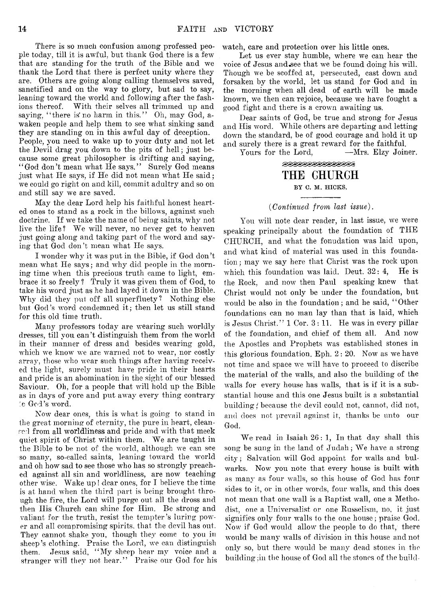There is so much confusion among professed people today, till it is awful, but thank God there is a few that are standing for the truth of the Bible and we thank the Lord that there is perfect unity where they are. Others are going along calling themselves saved, sanctified and on the way to glory, but sad to say, leaning toward the world and following after the fashions thereof. With their selves all trimmed up and saying, "there is no harm in this." Oh, may God, awaken people and help them to see what sinking sand they are standing on in this awful day of deception. People, you need to wake up to your duty and not let the Devil drag you down to the pits of hell; just because some great philosopher is drifting and saying, *'* ' God don't mean what He says. ' ' Surely God means just what He says, if He did not mean what He said; we could go right on and kill, commit adultry and so on and still say we are saved.

May the dear Lord help his faithful honest hearted ones to stand as a rock in the billows, against such doctrine. If we take the name of being saints, why not live the life? We will never, no never get to heaven just going along and taking part of the word and saying that God don't mean what He says.

I wonder why it was put in the Bible, if God don't mean what He says; and why did people in the morning time when this precious truth came to light, embrace it so freely ? Truly it was given them of God, to take his word just as he had layed it down in the Bible. Why did they put off all superfluety ? Nothing else but God's word condemned it; then let us still stand for this old time truth.

Many professors today are wearing such worldly dresses, till you can't distinguish them from the world in their manner of dress and besides wearing gold, which we know we are warned not to wear, nor costly array, those who wear such things after having received the light, surely must have pride in their hearts and pride is an abomination in the sight of our blessed Saviour. Oh, for a people that will hold up the Bible as in days of yore and put away every thing contrary : 0 God's word.

Now dear ones, this is what is going to stand in the great morning of eternity, the pure in heart, cleanred from all worldliness and pride and with that meek quiet spirit of Christ within them. We are taught in the Bible to be not of the world, although we can see so many, so-called saints, leaning toward the world and oh how sad to see those who has so strongly preached against all sin and worldliness, are now teaching other wise. Wake up ! dear ones, for I believe the time is at hand when the third part is being brought through the fire, the Lord will purge out all the dross and then His Church can shine for Him. Be strong and valiant for the truth, resist the tempter's luring power and all compromising spirits, that the devil has out. They cannot shake you, though they come to you in sheep's clothing. Praise the Lord, we can distinguish them.. Jesus said, " My sheep hear my voice and a stranger will they not hear." Praise our God for his

watch, care and protection over his little ones.

Let us ever stay humble, where we can hear the voice of Jesus and^ee that we be found doing his will. Though we be scoffed at, persecuted, cast down and forsaken by the world, let us stand for God and in the morning when all dead of earth will be made known, we then can: rejoice, because we have fought a good fight and there is a crown awaiting us.

Dear saints of God, be true and strong for Jesus and His word. While others are departing and letting down the standard, be of good courage and hold it up and surely there is a great reward for the faithful.<br>Yours for the Lord. —Mrs. Elzy Joiner.

Yours for the Lord,

# **BEBEBEBEBEBEBE** THE CHURCH BY C. M. HICKS.

#### *(Continued from last issue).*

You will note dear reader, in last issue, we were speaking principally about the foundation of THE CHURCH, and what the fonudation was laid upon, and what kind of material was used in this foundation ; may we say here that Christ was the rock upon which this foundation was laid. Deut.  $32:4$ , He is the Rock, and now then Paul speaking knew that Christ would not only be under the foundation, but would be also in the foundation; and he said, ' ' Other foundations can no man lay than that is laid, which is Jesus Christ." 1 Cor. 3 : 11. He was in every pillar of the foundation, and chief of them all. And now the Apostles and Prophets was established stones in this glorious foundation. Eph.  $2:20$ . Now as we have not time and space we will have to proceed to discribe the material of the walls, and also the building of the walls for every house has walls, that is if it is a substantial house and this one Jesus built is a substantial building *f* because the devil could not, cannot, did not, and does not prevail against it, thanks be unto our God.

We read in Isaiah 26: 1, In that day shall this song be sung in the land of Judah; We have a strong city; Salvation will God appoint for walls and bulwarks. Now you note that every house is built with as many as four walls, so this house of God has four sides to it, or in other words, four walls, and this does not mean that one wall is a Baptist wall, one a Methodist, one a Universalist or one Russelism, no, it just signifies only four walls to the one house; praise God. Now if God would allow the people to do that, there would be many walls of division in this house and not only so, but there would be many dead stones in the building ;in the house of God all the stones of the build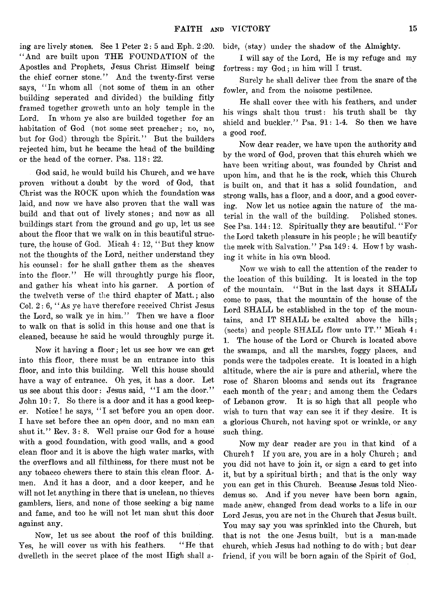ing are lively stones. See 1 Peter 2: 5 and Eph. 2 :20. " And are built upon THE FOUNDATION of the Apostles and Prophets, Jesus Christ Himself being the chief corner stone." And the twenty-first verse says, "In whom all (not some of them in an other building seperated and divided) the building fitly framed together groweth unto an holy temple in the Lord. In whom ye also are builded together for an habitation of God (not some sect preacher; no, no, but for God) through the Spirit." But the builders rejected him, but he became the head of the building or the head of the corner. Psa. 118: 22.

God said, he would build his Church, and we have proven without a doubt by the word of God, that Christ was the ROCK upon which the foundation was laid, and now we have also proven that the wall was build and that out of lively stones; and now as all buildings start from the ground and go up, let us see about the floor that we walk on in this beautiful structure, the house of God. Micah 4: 12, " But they know not the thoughts of the Lord, neither understand they his counsel: for he shall gather them as the sheaves into the floor." He will throughtly purge his floor, and gather his wheat into his garner. A portion of the twelveth verse of the third chapter of Matt.; also Col. 2: 6, " As ye have therefore received Christ Jesus the Lord, so walk ye in him." Then we have a floor to walk on that is solid in this house and one that is cleaned, because he said he would throughly purge it.

Now it having a floor; let us see how we can get into this floor, there must be an entrance into this floor, and into this building. Well this house should have a way of entrance. Oh yes, it has a door. Let us see about this door: Jesus said, "I am the door." John 10: 7. So there is a door and it has a good keeper. Notice! he says, " I set before you an open door. I have set before thee an open door, and no man can shut it." Rev. 3: 8. Well praise our God for a house with a good foundation, with good walls, and a good clean floor and it is above the high water marks, with the overflows and all filthiness, for there must not be any tobacco chewers there to stain this clean floor. Amen. And it has a door, and a door keeper, and he will not let anything in there that is unclean, no thieves gamblers, liers, and none of those seeking a big name and fame, and too he will not let man shut this door against any.

Now, let us see about the roof of this building. Yes, he will cover us with his feathers. "He that dwelleth in the secret place of the most High shall abide, (stay) under the shadow of the Almighty.

I will say of the Lord, He is my refuge and my fortress: my God; m him will I trust.

Surely he shall deliver thee from the snare of the fowler, and from the noisome pestilence.

He shall cover thee with his feathers, and under his wings shalt thou trust: his truth shall be thy shield and buckler." Psa. 91: 1-4. So then we have a good roof.

Now dear reader, we have upon the authority and by the word of God, proven that this church which we have been writing about, was founded by Christ and upon him, and that he is the rock, which this Church is built on, and that it has a solid foundation, and strong walls, has a floor, and a door, and a good covering. Now let us notice again the nature of the material in the wall of the building. Polished stones. See Psa, 144: 12. Spiritually they are beautiful. " For the Lord taketh pleasure in his people; he will beautify the meek with Salvation." Psa 149: 4. How? by washing it white in his own blood.

Now we wish to call the attention of the reader to the location of this building. It is located in the top of the mountain. " But in the last days it SHALL come to pass, that the mountain of the house of the Lord SHALL be established in the top of the mountains, and IT SHALL be exalted above the hills; (sects) and people SHALL flow unto IT." Micah 4: 1. The house of the Lord or Church is located above the swamps, and all the marshes, foggy places, and ponds were the tadpoles create. It is located in a high altitude, where the air is pure and atherial, where the rose of Sharon blooms and sends out its fragrance each month of the year; and among them the Cedars of Lebanon grow. It is so high that all people who wish to turn that way can see it if they desire. It is a glorious Church, not having spot or wrinkle, or any such thing.

Now my dear reader are you in that kind of a Church ? If you are, you are in a holy Church; and you did not have to join it, or sign a card to get into it, but by a spiritual birth; and that is the only way you can get in this Church. Because Jesus told Nicodemus so. And if you never have been bom again, made anew, changed from dead works to a life in our Lord Jesus, you are not in the Church that Jesus built. You may say you was sprinkled into the Church, but that is not the one Jesus built, but is a man-made church, which Jesus had nothing to do with; but dear friend, if you will be born again of the Spirit of God,